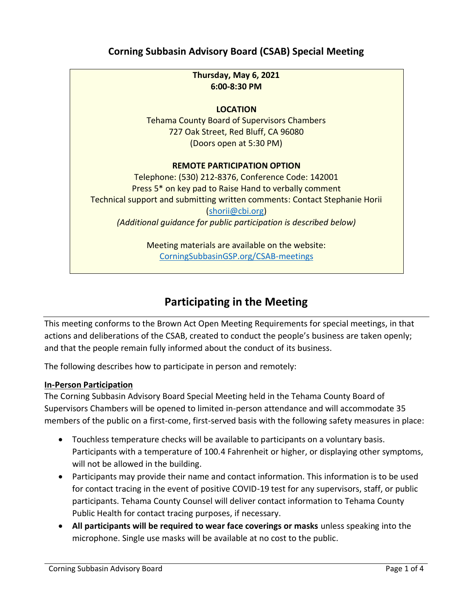# **Corning Subbasin Advisory Board (CSAB) Special Meeting**

## **Thursday, May 6, 2021 6:00-8:30 PM**

## **LOCATION**

Tehama County Board of Supervisors Chambers 727 Oak Street, Red Bluff, CA 96080 (Doors open at 5:30 PM)

#### **REMOTE PARTICIPATION OPTION**

Telephone: (530) 212-8376, Conference Code: 142001 Press 5\* on key pad to Raise Hand to verbally comment Technical support and submitting written comments: Contact Stephanie Horii [\(shorii@cbi.org\)](mailto:shorii@cbi.org) *(Additional guidance for public participation is described below)*

> Meeting materials are available on the website: [CorningSubbasinGSP.org/CSAB-meetings](https://www.corningsubbasingsp.org/csab-meetings)

# **Participating in the Meeting**

This meeting conforms to the Brown Act Open Meeting Requirements for special meetings, in that actions and deliberations of the CSAB, created to conduct the people's business are taken openly; and that the people remain fully informed about the conduct of its business.

The following describes how to participate in person and remotely:

#### **In-Person Participation**

The Corning Subbasin Advisory Board Special Meeting held in the Tehama County Board of Supervisors Chambers will be opened to limited in-person attendance and will accommodate 35 members of the public on a first-come, first-served basis with the following safety measures in place:

- Touchless temperature checks will be available to participants on a voluntary basis. Participants with a temperature of 100.4 Fahrenheit or higher, or displaying other symptoms, will not be allowed in the building.
- Participants may provide their name and contact information. This information is to be used for contact tracing in the event of positive COVID-19 test for any supervisors, staff, or public participants. Tehama County Counsel will deliver contact information to Tehama County Public Health for contact tracing purposes, if necessary.
- **All participants will be required to wear face coverings or masks** unless speaking into the microphone. Single use masks will be available at no cost to the public.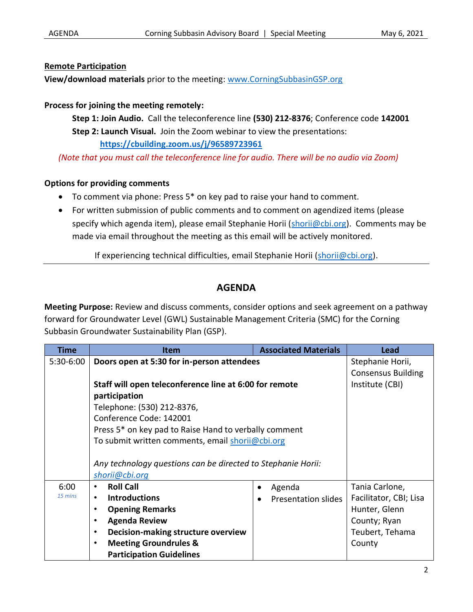#### **Remote Participation**

**View/download materials** prior to the meeting: [www.CorningSubbasinGSP.org](https://www.corningsubbasingsp.org/csab-meetings)

## **Process for joining the meeting remotely:**

**Step 1: Join Audio.** Call the teleconference line **(530) 212-8376**; Conference code **142001 Step 2: Launch Visual.** Join the Zoom webinar to view the presentations: **<https://cbuilding.zoom.us/j/96589723961>**

*(Note that you must call the teleconference line for audio. There will be no audio via Zoom)*

## **Options for providing comments**

- To comment via phone: Press 5\* on key pad to raise your hand to comment.
- For written submission of public comments and to comment on agendized items (please specify which agenda item), please email Stephanie Horii [\(shorii@cbi.org\)](mailto:shorii@cbi.org). Comments may be made via email throughout the meeting as this email will be actively monitored.

If experiencing technical difficulties, email Stephanie Horii [\(shorii@cbi.org\)](mailto:shorii@cbi.org).

## **AGENDA**

**Meeting Purpose:** Review and discuss comments, consider options and seek agreement on a pathway forward for Groundwater Level (GWL) Sustainable Management Criteria (SMC) for the Corning Subbasin Groundwater Sustainability Plan (GSP).

| <b>Time</b> | <b>Item</b>                                                       | <b>Associated Materials</b> | Lead                      |
|-------------|-------------------------------------------------------------------|-----------------------------|---------------------------|
| 5:30-6:00   | Doors open at 5:30 for in-person attendees                        |                             | Stephanie Horii,          |
|             |                                                                   |                             | <b>Consensus Building</b> |
|             | Staff will open teleconference line at 6:00 for remote            |                             | Institute (CBI)           |
|             | participation                                                     |                             |                           |
|             | Telephone: (530) 212-8376,                                        |                             |                           |
|             | Conference Code: 142001                                           |                             |                           |
|             | Press 5 <sup>*</sup> on key pad to Raise Hand to verbally comment |                             |                           |
|             | To submit written comments, email shorij@cbi.org                  |                             |                           |
|             |                                                                   |                             |                           |
|             | Any technology questions can be directed to Stephanie Horii:      |                             |                           |
|             | shorii@cbi.org                                                    |                             |                           |
| 6:00        | <b>Roll Call</b><br>$\bullet$                                     | Agenda<br>$\bullet$         | Tania Carlone,            |
| 15 mins     | <b>Introductions</b><br>$\bullet$                                 | Presentation slides         | Facilitator, CBI; Lisa    |
|             | <b>Opening Remarks</b>                                            |                             | Hunter, Glenn             |
|             | <b>Agenda Review</b>                                              |                             | County; Ryan              |
|             | Decision-making structure overview<br>٠                           |                             | Teubert, Tehama           |
|             | <b>Meeting Groundrules &amp;</b>                                  |                             | County                    |
|             | <b>Participation Guidelines</b>                                   |                             |                           |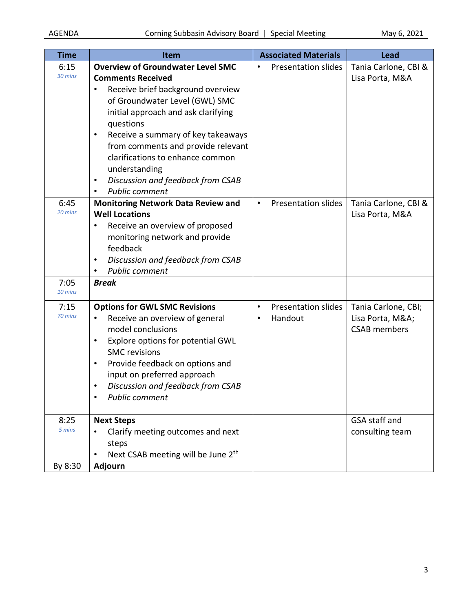| <b>Time</b>             | Item                                                                                                                                                                                                                                                                                                                                                                                                          | <b>Associated Materials</b>                             | <b>Lead</b>                                                   |
|-------------------------|---------------------------------------------------------------------------------------------------------------------------------------------------------------------------------------------------------------------------------------------------------------------------------------------------------------------------------------------------------------------------------------------------------------|---------------------------------------------------------|---------------------------------------------------------------|
| 6:15<br>30 mins         | <b>Overview of Groundwater Level SMC</b><br><b>Comments Received</b><br>Receive brief background overview<br>of Groundwater Level (GWL) SMC<br>initial approach and ask clarifying<br>questions<br>Receive a summary of key takeaways<br>٠<br>from comments and provide relevant<br>clarifications to enhance common<br>understanding<br>Discussion and feedback from CSAB<br>٠<br><b>Public comment</b><br>٠ | <b>Presentation slides</b><br>٠                         | Tania Carlone, CBI &<br>Lisa Porta, M&A                       |
| 6:45<br>20 mins<br>7:05 | <b>Monitoring Network Data Review and</b><br><b>Well Locations</b><br>Receive an overview of proposed<br>٠<br>monitoring network and provide<br>feedback<br>Discussion and feedback from CSAB<br>٠<br><b>Public comment</b><br>$\bullet$<br><b>Break</b>                                                                                                                                                      | <b>Presentation slides</b><br>$\bullet$                 | Tania Carlone, CBI &<br>Lisa Porta, M&A                       |
| 10 mins                 |                                                                                                                                                                                                                                                                                                                                                                                                               |                                                         |                                                               |
| 7:15<br>70 mins         | <b>Options for GWL SMC Revisions</b><br>Receive an overview of general<br>$\bullet$<br>model conclusions<br>Explore options for potential GWL<br>$\bullet$<br><b>SMC</b> revisions<br>Provide feedback on options and<br>٠<br>input on preferred approach<br>Discussion and feedback from CSAB<br>٠<br>Public comment<br>$\bullet$                                                                            | <b>Presentation slides</b><br>$\bullet$<br>Handout<br>٠ | Tania Carlone, CBI;<br>Lisa Porta, M&A<br><b>CSAB</b> members |
| 8:25<br>5 mins          | <b>Next Steps</b><br>Clarify meeting outcomes and next                                                                                                                                                                                                                                                                                                                                                        |                                                         | GSA staff and<br>consulting team                              |
|                         | steps<br>Next CSAB meeting will be June 2 <sup>th</sup>                                                                                                                                                                                                                                                                                                                                                       |                                                         |                                                               |
| By 8:30                 | <b>Adjourn</b>                                                                                                                                                                                                                                                                                                                                                                                                |                                                         |                                                               |